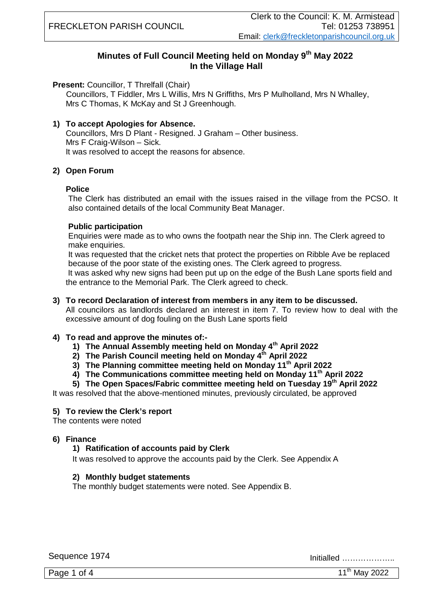### **Minutes of Full Council Meeting held on Monday 9 th May 2022 In the Village Hall**

**Present:** Councillor, T Threlfall (Chair)

 Councillors, T Fiddler, Mrs L Willis, Mrs N Griffiths, Mrs P Mulholland, Mrs N Whalley, Mrs C Thomas, K McKay and St J Greenhough.

#### **1) To accept Apologies for Absence.**

Councillors, Mrs D Plant - Resigned. J Graham – Other business. Mrs F Craig-Wilson – Sick. It was resolved to accept the reasons for absence.

#### **2) Open Forum**

#### **Police**

The Clerk has distributed an email with the issues raised in the village from the PCSO. It also contained details of the local Community Beat Manager.

#### **Public participation**

Enquiries were made as to who owns the footpath near the Ship inn. The Clerk agreed to make enquiries.

It was requested that the cricket nets that protect the properties on Ribble Ave be replaced because of the poor state of the existing ones. The Clerk agreed to progress.

It was asked why new signs had been put up on the edge of the Bush Lane sports field and the entrance to the Memorial Park. The Clerk agreed to check.

#### **3) To record Declaration of interest from members in any item to be discussed.**

All councilors as landlords declared an interest in item 7. To review how to deal with the excessive amount of dog fouling on the Bush Lane sports field

#### **4) To read and approve the minutes of:-**

- **1) The Annual Assembly meeting held on Monday 4th April 2022**
- **2) The Parish Council meeting held on Monday 4th April 2022**
- **3) The Planning committee meeting held on Monday 11th April 2022**
- **4) The Communications committee meeting held on Monday 11th April 2022**
- **5) The Open Spaces/Fabric committee meeting held on Tuesday 19th April 2022**

It was resolved that the above-mentioned minutes, previously circulated, be approved

#### **5) To review the Clerk's report**

The contents were noted

#### **6) Finance**

#### **1) Ratification of accounts paid by Clerk**

It was resolved to approve the accounts paid by the Clerk. See Appendix A

#### **2) Monthly budget statements**

The monthly budget statements were noted. See Appendix B.

Sequence 1974 Initialled ………………..

Page 1 of 4  $11<sup>th</sup>$  May 2022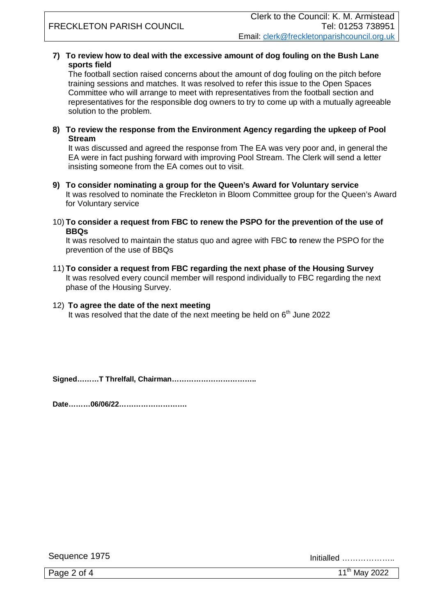#### **7) To review how to deal with the excessive amount of dog fouling on the Bush Lane sports field**

The football section raised concerns about the amount of dog fouling on the pitch before training sessions and matches. It was resolved to refer this issue to the Open Spaces Committee who will arrange to meet with representatives from the football section and representatives for the responsible dog owners to try to come up with a mutually agreeable solution to the problem.

**8) To review the response from the Environment Agency regarding the upkeep of Pool Stream** 

It was discussed and agreed the response from The EA was very poor and, in general the EA were in fact pushing forward with improving Pool Stream. The Clerk will send a letter insisting someone from the EA comes out to visit.

- **9) To consider nominating a group for the Queen's Award for Voluntary service** It was resolved to nominate the Freckleton in Bloom Committee group for the Queen's Award for Voluntary service
- 10) **To consider a request from FBC to renew the PSPO for the prevention of the use of BBQs**

It was resolved to maintain the status quo and agree with FBC **to** renew the PSPO for the prevention of the use of BBQs

11) **To consider a request from FBC regarding the next phase of the Housing Survey** It was resolved every council member will respond individually to FBC regarding the next phase of the Housing Survey.

#### 12) **To agree the date of the next meeting**

It was resolved that the date of the next meeting be held on 6<sup>th</sup> June 2022

**Signed………T Threlfall, Chairman……………………………..**

**Date………06/06/22……………………….**

Sequence 1975 Initialled ………………..

Page 2 of 4  $11<sup>th</sup>$  May 2022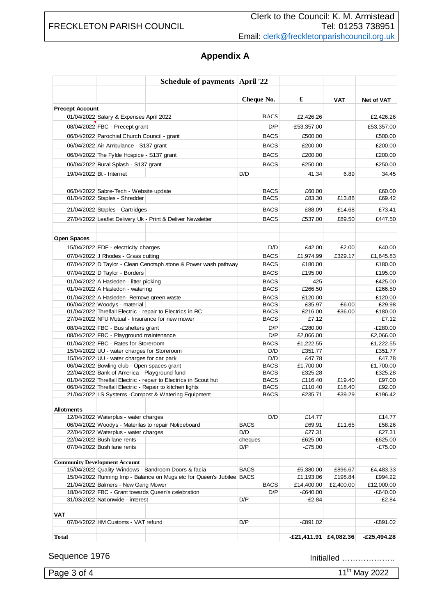# **Appendix A**

|                        |                                                                                           | <b>Schedule of payments April '22</b>                                 |                    |                          |            |                          |
|------------------------|-------------------------------------------------------------------------------------------|-----------------------------------------------------------------------|--------------------|--------------------------|------------|--------------------------|
|                        |                                                                                           |                                                                       | Cheque No.         | £                        | <b>VAT</b> | <b>Net of VAT</b>        |
| <b>Precept Account</b> |                                                                                           |                                                                       |                    |                          |            |                          |
|                        | 01/04/2022 Salary & Expenses April 2022                                                   |                                                                       | <b>BACS</b>        | £2,426.26                |            | £2,426.26                |
|                        | 08/04/2022 FBC - Precept grant                                                            |                                                                       | D/P                | $-E53,357.00$            |            | $-E53,357.00$            |
|                        | 06/04/2022 Parochial Church Council - grant                                               |                                                                       | <b>BACS</b>        | £500.00                  |            | £500.00                  |
|                        |                                                                                           |                                                                       |                    | £200.00                  |            | £200.00                  |
|                        | 06/04/2022 Air Ambulance - S137 grant                                                     |                                                                       | <b>BACS</b>        |                          |            |                          |
|                        | 06/04/2022 The Fylde Hospice - S137 grant                                                 |                                                                       | <b>BACS</b>        | £200.00                  |            | £200.00                  |
|                        | 06/04/2022 Rural Splash - S137 grant                                                      |                                                                       | <b>BACS</b>        | £250.00                  |            | £250.00                  |
|                        | 19/04/2022 Bt - Internet                                                                  |                                                                       | D/D                | 41.34                    | 6.89       | 34.45                    |
|                        | 06/04/2022 Sabre-Tech - Website update                                                    |                                                                       | <b>BACS</b>        | £60.00                   |            | £60.00                   |
|                        | 01/04/2022 Staples - Shredder                                                             |                                                                       | <b>BACS</b>        | £83.30                   | £13.88     | £69.42                   |
|                        |                                                                                           |                                                                       |                    |                          |            |                          |
|                        | 21/04/2022 Staples - Cartridges                                                           |                                                                       | <b>BACS</b>        | £88.09                   | £14.68     | £73.41                   |
|                        |                                                                                           | 27/04/2022 Leaflet Delivery Uk - Print & Deliver Newsletter           | <b>BACS</b>        | £537.00                  | £89.50     | £447.50                  |
| <b>Open Spaces</b>     |                                                                                           |                                                                       |                    |                          |            |                          |
|                        | 15/04/2022 EDF - electricity charges                                                      |                                                                       | D/D                | £42.00                   | £2.00      | £40.00                   |
|                        | 07/04/2022 J Rhodes - Grass cutting                                                       |                                                                       | <b>BACS</b>        | £1,974.99                | £329.17    | £1,645.83                |
|                        |                                                                                           | 07/04/2022 D Taylor - Clean Cenotaph stone & Power wash pathway       | <b>BACS</b>        | £180.00                  |            | £180.00                  |
|                        | 07/04/2022 D Taylor - Borders                                                             |                                                                       | <b>BACS</b>        | £195.00                  |            | £195.00                  |
|                        | 01/04/2022 A Hasleden - litter picking                                                    |                                                                       | <b>BACS</b>        | 425                      |            | £425.00                  |
|                        | 01/04/2022 A Hasledon - watering                                                          |                                                                       | <b>BACS</b>        | £266.50                  |            | £266.50                  |
|                        | 01/04/2022 A Hasleden- Remove green waste                                                 |                                                                       | <b>BACS</b>        | £120.00                  |            | £120.00                  |
|                        | 06/04/2022 Woodys - material                                                              |                                                                       | <b>BACS</b>        | £35.97                   | £6.00      | £29.98                   |
|                        |                                                                                           | 01/04/2022 Threlfall Electric - repair to Electrics in RC             | <b>BACS</b>        | £216.00                  | £36.00     | £180.00                  |
|                        | 27/04/2022 NFU Mutual - Insurance for new mower                                           |                                                                       | <b>BACS</b>        | £7.12                    |            | £7.12                    |
|                        | 08/04/2022 FBC - Bus shelters grant                                                       |                                                                       | D/P                | $-E280.00$               |            | $-E280.00$               |
|                        | 08/04/2022 FBC - Playground maintenance                                                   |                                                                       | D/P                | £2,066.00                |            | £2,066.00                |
|                        | 01/04/2022 FBC - Rates for Storeroom                                                      |                                                                       | <b>BACS</b>        | £1,222.55                |            | £1,222.55                |
|                        | 15/04/2022 UU - water charges for Storeroom                                               |                                                                       | D/D                | £351.77                  |            | £351.77                  |
|                        | 15/04/2022 UU - water charges for car park<br>06/04/2022 Bowling club - Open spaces grant |                                                                       | D/D<br><b>BACS</b> | £47.78<br>£1,700.00      |            | £47.78<br>£1,700.00      |
|                        | 22/04/2022 Bank of America - Playground fund                                              |                                                                       | <b>BACS</b>        | $-£325.28$               |            | $-£325.28$               |
|                        |                                                                                           | 01/04/2022 Threlfall Electric - repair to Electrics in Scout hut      | <b>BACS</b>        | £116.40                  | £19.40     | £97.00                   |
|                        |                                                                                           | 06/04/2022 Threlfall Electric - Repair to kitchen lights              | <b>BACS</b>        | £110.40                  | £18.40     | £92.00                   |
|                        |                                                                                           | 21/04/2022 LS Systems - Compost & Watering Equipment                  | <b>BACS</b>        | £235.71                  | £39.29     | £196.42                  |
| <b>Allotments</b>      |                                                                                           |                                                                       |                    |                          |            |                          |
|                        | 12/04/2022 Waterplus - water charges                                                      |                                                                       | D/D                | £14.77                   |            | £14.77                   |
|                        |                                                                                           | 06/04/2022 Woodys - Materilas to repair Noticeboard                   | <b>BACS</b>        | £69.91                   | £11.65     | £58.26                   |
|                        | 22/04/2022 Waterplus - water charges                                                      |                                                                       | D/D                | £27.31                   |            | £27.31                   |
|                        | 22/04/2022 Bush lane rents                                                                |                                                                       | cheques            | $-E625.00$               |            | $-E625.00$               |
|                        | 07/04/2022 Bush lane rents                                                                |                                                                       | D/P                | $-£75.00$                |            | $-£75.00$                |
|                        | <b>Community Development Account</b>                                                      |                                                                       |                    |                          |            |                          |
|                        |                                                                                           | 15/04/2022 Quality Windows - Bandroom Doors & facia                   | <b>BACS</b>        | £5,380.00                | £896.67    | £4,483.33                |
|                        |                                                                                           | 15/04/2022 Running Imp - Balance on Mugs etc for Queen's Jubilee BACS |                    | £1,193.06                | £198.84    | £994.22                  |
|                        | 21/04/2022 Balmers - New Gang Mower<br>18/04/2022 FBC - Grant towards Queen's celebration |                                                                       | <b>BACS</b><br>D/P | £14,400.00<br>$-E640.00$ | £2,400.00  | £12,000.00<br>$-E640.00$ |
|                        | 31/03/2022 Nationwide - interest                                                          |                                                                       | D/P                | $-E2.84$                 |            | $-E2.84$                 |
|                        |                                                                                           |                                                                       |                    |                          |            |                          |
| <b>VAT</b>             | 07/04/2022 HM Customs - VAT refund                                                        |                                                                       | D/P                | $-E891.02$               |            | $-£891.02$               |
|                        |                                                                                           |                                                                       |                    |                          |            |                          |
| Total                  |                                                                                           |                                                                       |                    | $-E21,411.91$ £4,082.36  |            | $-£25,494.28$            |

Sequence 1976 Initialled ………………..

Page 3 of 4 11<sup>th</sup> May 2022